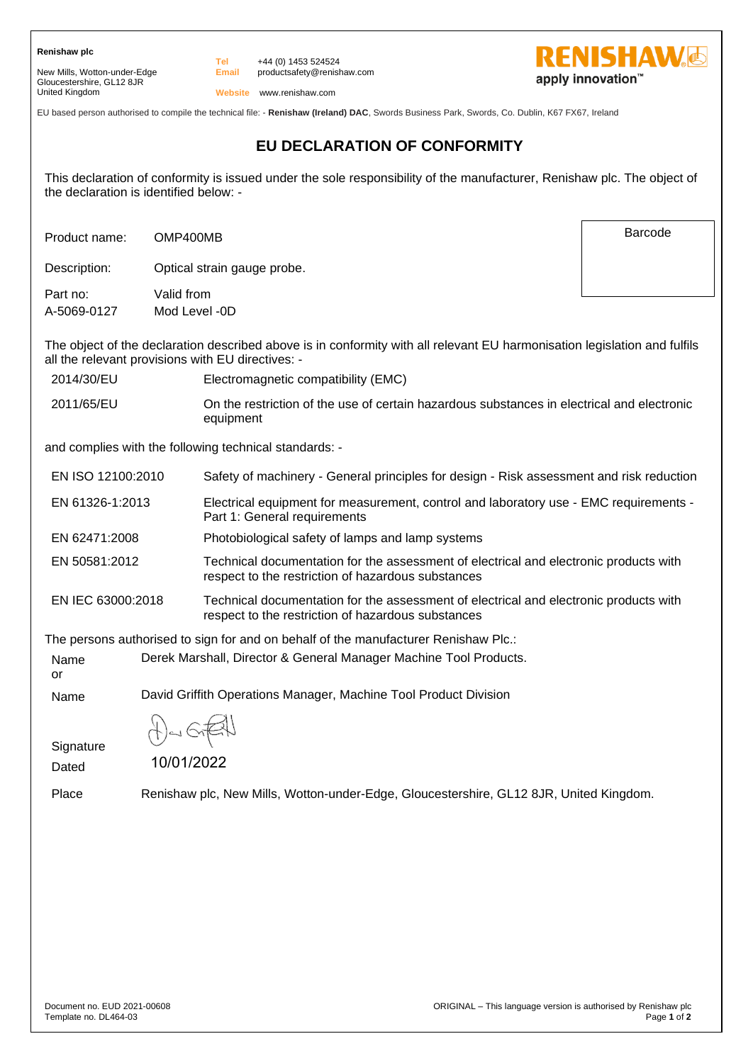**Renishaw plc**

New Mills, Wotton-under-Edge Gloucestershire, GL12 8JR United Kingdom

**Email** +44 (0) 1453 524524 productsafety@renishaw.com



Barcode

**Website** www.renishaw.com

**Tel**

EU based person authorised to compile the technical file: - **Renishaw (Ireland) DAC**, Swords Business Park, Swords, Co. Dublin, K67 FX67, Ireland

## **EU DECLARATION OF CONFORMITY**

This declaration of conformity is issued under the sole responsibility of the manufacturer, Renishaw plc. The object of the declaration is identified below: -

Product name: OMP400MB

Description: Optical strain gauge probe.

Part no: Valid from A-5069-0127 Mod Level -0D

The object of the declaration described above is in conformity with all relevant EU harmonisation legislation and fulfils all the relevant provisions with EU directives: -

| 2014/30/EU | Electromagnetic compatibility (EMC) |
|------------|-------------------------------------|
|------------|-------------------------------------|

2011/65/EU On the restriction of the use of certain hazardous substances in electrical and electronic equipment

and complies with the following technical standards: -

| EN ISO 12100:2010 | Safety of machinery - General principles for design - Risk assessment and risk reduction                                                    |
|-------------------|---------------------------------------------------------------------------------------------------------------------------------------------|
| EN 61326-1:2013   | Electrical equipment for measurement, control and laboratory use - EMC requirements -<br>Part 1: General requirements                       |
| EN 62471:2008     | Photobiological safety of lamps and lamp systems                                                                                            |
| EN 50581:2012     | Technical documentation for the assessment of electrical and electronic products with<br>respect to the restriction of hazardous substances |

EN IEC 63000:2018 Technical documentation for the assessment of electrical and electronic products with respect to the restriction of hazardous substances

The persons authorised to sign for and on behalf of the manufacturer Renishaw Plc.:

Name Derek Marshall, Director & General Manager Machine Tool Products.

Name David Griffith Operations Manager, Machine Tool Product Division

**Signature** 

10/01/2022

Dated

or

Place Renishaw plc, New Mills, Wotton-under-Edge, Gloucestershire, GL12 8JR, United Kingdom.